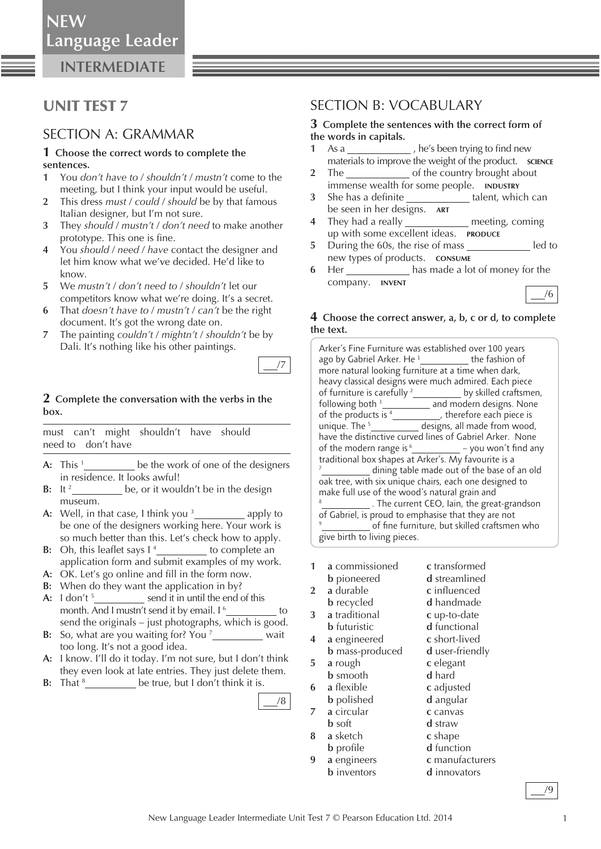**INTERMEDIATE**

## UNIT TEST 7

### SECTION A: GRAMMAR

#### **1 Choose the correct words to complete the sentences.**

- **1** You *don't have to* / *shouldn't* / *mustn't* come to the meeting, but I think your input would be useful.
- **2** This dress *must* / *could* / *should* be by that famous Italian designer, but I'm not sure.
- **3** They *should* / *mustn't* / *don't need* to make another prototype. This one is fine.
- **4** You *should* / *need* / *have* contact the designer and let him know what we've decided. He'd like to know.
- **5** We *mustn't* / *don't need to* / *shouldn't* let our competitors know what we're doing. It's a secret.
- **6** That *doesn't have to* / *mustn't* / *can't* be the right document. It's got the wrong date on.
- **7** The painting *couldn't* / *mightn't* / *shouldn't* be by Dali. It's nothing like his other paintings.



#### **2 Complete the conversation with the verbs in the box.**

 must can't might shouldn't have should need to don't have

- **A:** This 1 be the work of one of the designers in residence. It looks awful!
- **B:** It 2 be, or it wouldn't be in the design museum.
- **A:** Well, in that case, I think you 3 *apply to* be one of the designers working here. Your work is so much better than this. Let's check how to apply.
- **B:** Oh, this leaflet says I<sup>4</sup> **to complete an** application form and submit examples of my work.
- A: OK. Let's go online and fill in the form now.
- **B:** When do they want the application in by?
- **A:** I don't 5 send it in until the end of this month. And I mustn't send it by email. I<sup>6</sup> to send the originals – just photographs, which is good.
- **B:** So, what are you waiting for? You <sup>7</sup><sub>\_\_\_\_\_\_\_\_\_\_\_\_</sub> wait too long. It's not a good idea.
- **A:** I know. I'll do it today. I'm not sure, but I don't think they even look at late entries. They just delete them.
- **B:** That  $^8$  \_\_\_\_\_\_\_\_\_\_\_\_\_\_ be true, but I don't think it is.

### SECTION B: VOCABULARY

#### **3 Complete the sentences with the correct form of the words in capitals.**

- **1** As a , he's been trying to find new materials to improve the weight of the product. **SCIENCE**
- **2** The of the country brought about immense wealth for some people. **INDUSTRY**
- **3** She has a definite talent, which can be seen in her designs. **ART**
- **4** They had a really \_\_\_\_\_\_\_\_\_\_\_\_\_\_ meeting, coming up with some excellent ideas. **PRODUCE**
- **5** During the 60s, the rise of mass led to new types of products. **CONSUME**
- **6** Her has made a lot of money for the company. **INVENT**

### **4 Choose the correct answer, a, b, c or d, to complete the text.**

/6

| Arker's Fine Furniture was established over 100 years<br>ago by Gabriel Arker. He <sup>1</sup> ____________ the fashion of<br>more natural looking furniture at a time when dark, |  |  |
|-----------------------------------------------------------------------------------------------------------------------------------------------------------------------------------|--|--|
| heavy classical designs were much admired. Each piece                                                                                                                             |  |  |
| of furniture is carefully <sup>2</sup> _____________ by skilled craftsmen,                                                                                                        |  |  |
| following both <sup>3</sup> ___________ and modern designs. None                                                                                                                  |  |  |
|                                                                                                                                                                                   |  |  |
| of the products is <sup>4</sup> _________, therefore each piece is unique. The <sup>5</sup> __________ designs, all made from wood,                                               |  |  |
| have the distinctive curved lines of Gabriel Arker. None                                                                                                                          |  |  |
| of the modern range is <sup>6</sup> _____________ - you won't find any                                                                                                            |  |  |
| traditional box shapes at Arker's. My favourite is a                                                                                                                              |  |  |
| <sup>7</sup> <sub>2</sub> dining table made out of the base of an old                                                                                                             |  |  |
| oak tree, with six unique chairs, each one designed to                                                                                                                            |  |  |
| make full use of the wood's natural grain and                                                                                                                                     |  |  |
| 8<br>. The current CEO, Iain, the great-grandson                                                                                                                                  |  |  |
| of Gabriel, is proud to emphasise that they are not                                                                                                                               |  |  |
| 9<br>of fine furniture, but skilled craftsmen who                                                                                                                                 |  |  |
| give birth to living pieces.                                                                                                                                                      |  |  |
|                                                                                                                                                                                   |  |  |

| 1                       | a commissioned         | c transformed        |
|-------------------------|------------------------|----------------------|
|                         | <b>b</b> pioneered     | <b>d</b> streamlined |
| $\overline{2}$          | a durable              | c influenced         |
|                         | <b>b</b> recycled      | d handmade           |
| 3                       | a traditional          | c up-to-date         |
|                         | <b>b</b> futuristic    | d functional         |
| $\overline{\mathbf{4}}$ | a engineered           | c short-lived        |
|                         | <b>b</b> mass-produced | d user-friendly      |
| 5                       | a rough                | c elegant            |
|                         | <b>b</b> smooth        | d hard               |
| 6                       | a flexible             | c adjusted           |
|                         | <b>b</b> polished      | d angular            |
| 7                       | a circular             | c canvas             |
|                         | <b>b</b> soft          | <b>d</b> straw       |
| 8                       | a sketch               | c shape              |
|                         | <b>b</b> profile       | d function           |
| 9                       | a engineers            | c manufacturers      |

**b** inventors **d** innovators

/8

/9